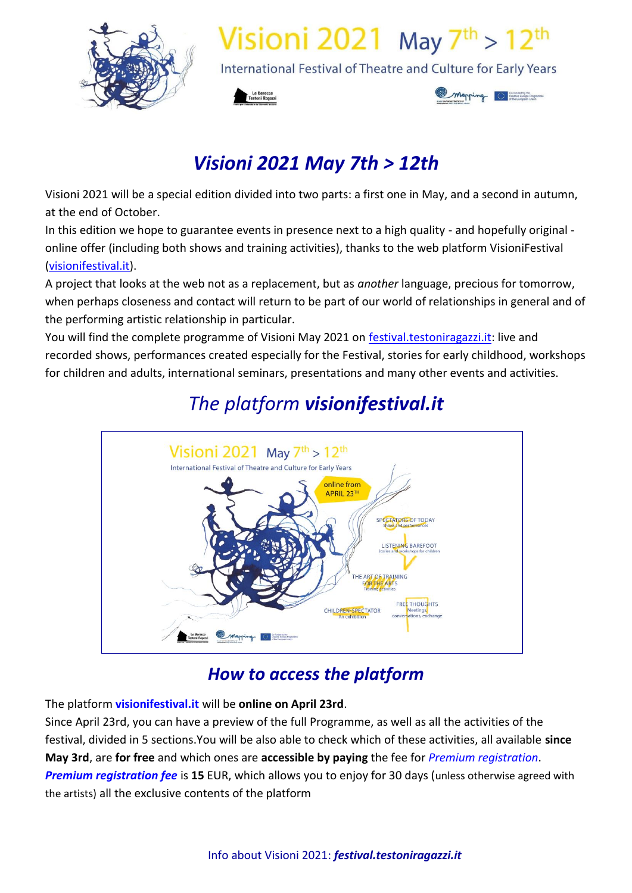

# Visioni 2021 May  $7<sup>th</sup>$  > 12<sup>th</sup>

International Festival of Theatre and Culture for Early Years





## *Visioni 2021 May 7th > 12th*

Visioni 2021 will be a special edition divided into two parts: a first one in May, and a second in autumn, at the end of October.

In this edition we hope to guarantee events in presence next to a high quality - and hopefully original online offer (including both shows and training activities), thanks to the web platform VisioniFestival [\(visionifestival.it\)](http://visionifestival.it/).

A project that looks at the web not as a replacement, but as *another* language, precious for tomorrow, when perhaps closeness and contact will return to be part of our world of relationships in general and of the performing artistic relationship in particular.

You will find the complete programme of Visioni May 2021 on [festival.testoniragazzi.it:](http://festival.testoniragazzi.it/) live and recorded shows, performances created especially for the Festival, stories for early childhood, workshops for children and adults, international seminars, presentations and many other events and activities.



## *The platform visionifestival.it*

## *How to access the platform*

The platform **visionifestival.it** will be **online on April 23rd**.

Since April 23rd, you can have a preview of the full Programme, as well as all the activities of the festival, divided in 5 sections.You will be also able to check which of these activities, all available **since May 3rd**, are **for free** and which ones are **accessible by paying** the fee for *Premium registration*. *Premium registration fee* is **15** EUR, which allows you to enjoy for 30 days (unless otherwise agreed with the artists) all the exclusive contents of the platform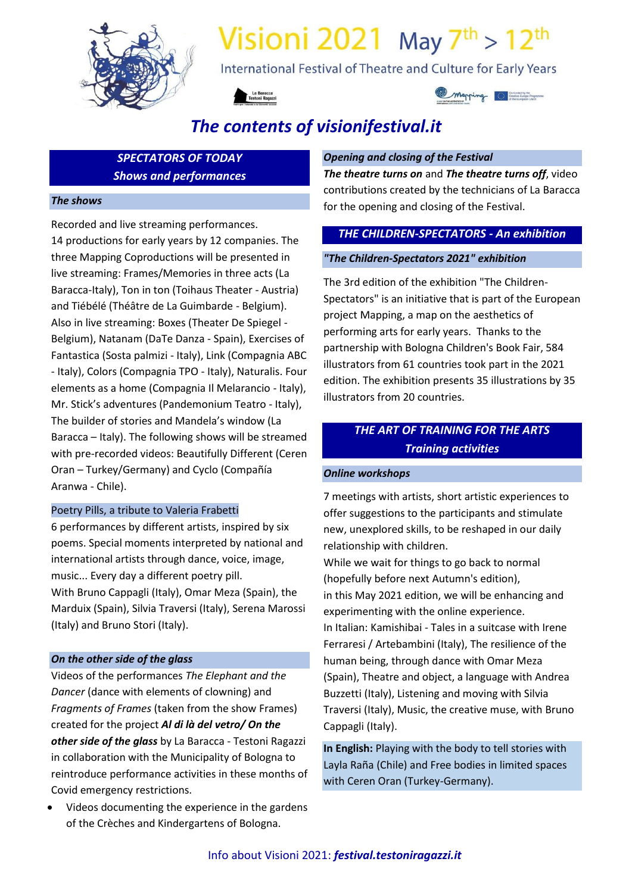

# Visioni 2021 May  $7<sup>th</sup> > 12<sup>th</sup>$

International Festival of Theatre and Culture for Early Years





## *The contents of visionifestival.it*

*SPECTATORS OF TODAY Shows and performances*

#### *The shows*

Recorded and live streaming performances. 14 productions for early years by 12 companies. The three Mapping Coproductions will be presented in live streaming: Frames/Memories in three acts (La Baracca-Italy), Ton in ton (Toihaus Theater - Austria) and Tiébélé (Théâtre de La Guimbarde - Belgium). Also in live streaming: Boxes (Theater De Spiegel - Belgium), Natanam (DaTe Danza - Spain), Exercises of Fantastica (Sosta palmizi - Italy), Link (Compagnia ABC - Italy), Colors (Compagnia TPO - Italy), Naturalis. Four elements as a home (Compagnia Il Melarancio - Italy), Mr. Stick's adventures (Pandemonium Teatro - Italy), The builder of stories and Mandela's window (La Baracca – Italy). The following shows will be streamed with pre-recorded videos: Beautifully Different (Ceren Oran – Turkey/Germany) and Cyclo (Compañía Aranwa - Chile).

#### Poetry Pills, a tribute to Valeria Frabetti

6 performances by different artists, inspired by six poems. Special moments interpreted by national and international artists through dance, voice, image, music... Every day a different poetry pill. With Bruno Cappagli (Italy), Omar Meza (Spain), the Marduix (Spain), Silvia Traversi (Italy), Serena Marossi (Italy) and Bruno Stori (Italy).

#### *On the other side of the glass*

Videos of the performances *The Elephant and the Dancer* (dance with elements of clowning) and *Fragments of Frames* (taken from the show Frames) created for the project *Al di là del vetro/ On the other side of the glass* by La Baracca - Testoni Ragazzi in collaboration with the Municipality of Bologna to reintroduce performance activities in these months of Covid emergency restrictions.

 Videos documenting the experience in the gardens of the Crèches and Kindergartens of Bologna.

#### *Opening and closing of the Festival*

*The theatre turns on* and *The theatre turns off*, video contributions created by the technicians of La Baracca for the opening and closing of the Festival.

#### *THE CHILDREN-SPECTATORS - An exhibition*

#### *"The Children-Spectators 2021" exhibition*

The 3rd edition of the exhibition "The Children-Spectators" is an initiative that is part of the European project Mapping, a map on the aesthetics of performing arts for early years. Thanks to the partnership with Bologna Children's Book Fair, 584 illustrators from 61 countries took part in the 2021 edition. The exhibition presents 35 illustrations by 35 illustrators from 20 countries.

### *THE ART OF TRAINING FOR THE ARTS Training activities*

#### *Online workshops*

7 meetings with artists, short artistic experiences to offer suggestions to the participants and stimulate new, unexplored skills, to be reshaped in our daily relationship with children.

While we wait for things to go back to normal (hopefully before next Autumn's edition), in this May 2021 edition, we will be enhancing and experimenting with the online experience. In Italian: Kamishibai - Tales in a suitcase with Irene Ferraresi / Artebambini (Italy), The resilience of the human being, through dance with Omar Meza (Spain), Theatre and object, a language with Andrea Buzzetti (Italy), Listening and moving with Silvia Traversi (Italy), Music, the creative muse, with Bruno Cappagli (Italy).

**In English:** Playing with the body to tell stories with Layla Raña (Chile) and Free bodies in limited spaces with Ceren Oran (Turkey-Germany).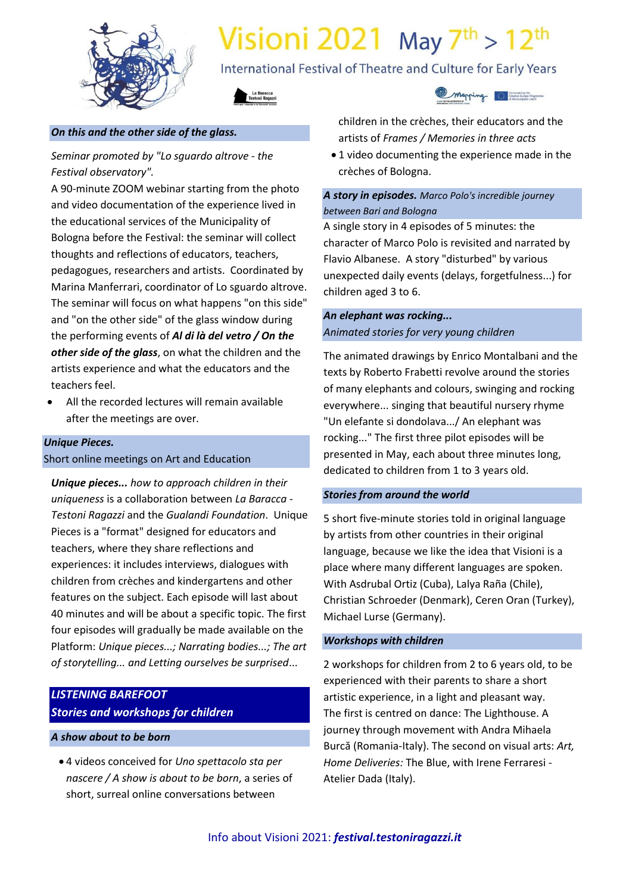

# Visioni 2021 May  $7<sup>th</sup>$  > 12<sup>th</sup>

International Festival of Theatre and Culture for Early Years



#### *On this and the other side of the glass.*

*Seminar promoted by "Lo sguardo altrove - the Festival observatory".* 

A 90-minute ZOOM webinar starting from the photo and video documentation of the experience lived in the educational services of the Municipality of Bologna before the Festival: the seminar will collect thoughts and reflections of educators, teachers, pedagogues, researchers and artists. Coordinated by Marina Manferrari, coordinator of Lo sguardo altrove. The seminar will focus on what happens "on this side" and "on the other side" of the glass window during the performing events of *Al di là del vetro / On the other side of the glass*, on what the children and the artists experience and what the educators and the teachers feel.

 All the recorded lectures will remain available after the meetings are over.

### *Unique Pieces.*

#### Short online meetings on Art and Education

*Unique pieces... how to approach children in their uniqueness* is a collaboration between *La Baracca - Testoni Ragazzi* and the *Gualandi Foundation*.Unique Pieces is a "format" designed for educators and teachers, where they share reflections and experiences: it includes interviews, dialogues with children from crèches and kindergartens and other features on the subject. Each episode will last about 40 minutes and will be about a specific topic. The first four episodes will gradually be made available on the Platform: *Unique pieces...; Narrating bodies...; The art of storytelling... and Letting ourselves be surprised*...

### *LISTENING BAREFOOT Stories and workshops for children*

#### *A show about to be born*

 4 videos conceived for *Uno spettacolo sta per nascere / A show is about to be born*, a series of short, surreal online conversations between



children in the crèches, their educators and the artists of *Frames / Memories in three acts*

 1 video documenting the experience made in the crèches of Bologna.

#### *A story in episodes. Marco Polo's incredible journey between Bari and Bologna*

A single story in 4 episodes of 5 minutes: the character of Marco Polo is revisited and narrated by Flavio Albanese. A story "disturbed" by various unexpected daily events (delays, forgetfulness...) for children aged 3 to 6.

#### *An elephant was rocking... Animated stories for very young children*

The animated drawings by Enrico Montalbani and the texts by Roberto Frabetti revolve around the stories of many elephants and colours, swinging and rocking everywhere... singing that beautiful nursery rhyme "Un elefante si dondolava.../ An elephant was rocking..." The first three pilot episodes will be presented in May, each about three minutes long, dedicated to children from 1 to 3 years old.

#### *Stories from around the world*

5 short five-minute stories told in original language by artists from other countries in their original language, because we like the idea that Visioni is a place where many different languages are spoken. With Asdrubal Ortiz (Cuba), Lalya Raña (Chile), Christian Schroeder (Denmark), Ceren Oran (Turkey), Michael Lurse (Germany).

#### *Workshops with children*

2 workshops for children from 2 to 6 years old, to be experienced with their parents to share a short artistic experience, in a light and pleasant way. The first is centred on dance: The Lighthouse. A journey through movement with Andra Mihaela Burcă (Romania-Italy). The second on visual arts: *Art, Home Deliveries:* The Blue, with Irene Ferraresi - Atelier Dada (Italy).